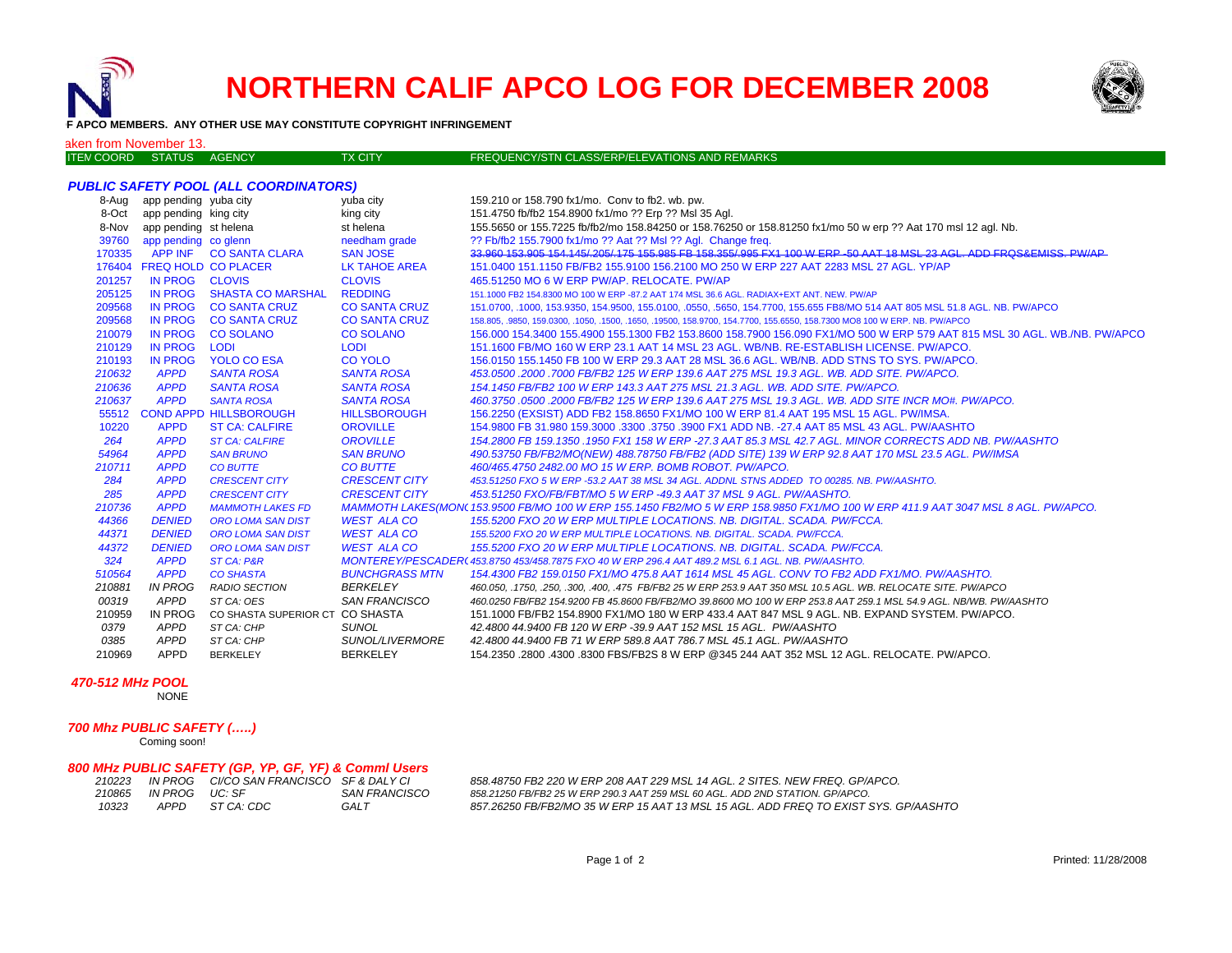

# **NORTHERN CALIF APCO LOG FOR DECEMBER 2008**



## **OF APCO MEMBERS. ANY OTHER USE MAY CONSTITUTE COPYRIGHT INFRINGEMENT**

## aken from November 13.

| <b>ITEN COORD STATUS</b> | <b>AGENCY</b> | <b>TX CITY</b> | FREQUENCY/STN CLASS/ERP/ELEVATIONS AND REMARKS |
|--------------------------|---------------|----------------|------------------------------------------------|
|                          |               |                |                                                |

## *PUBLIC SAFETY POOL (ALL COORDINATORS)*

|        | 8-Aug app pending yuba city |                                 | yuba city              | 159.210 or 158.790 fx1/mo. Conv to fb2. wb. pw.                                                                                  |
|--------|-----------------------------|---------------------------------|------------------------|----------------------------------------------------------------------------------------------------------------------------------|
| 8-Oct  | app pending king city       |                                 | king city              | 151.4750 fb/fb2 154.8900 fx1/mo ?? Erp ?? Msl 35 Agl.                                                                            |
| 8-Nov  | app pending st helena       |                                 | st helena              | 155.5650 or 155.7225 fb/fb2/mo 158.84250 or 158.76250 or 158.81250 fx1/mo 50 w erp ?? Aat 170 msl 12 agl. Nb.                    |
| 39760  | app pending co glenn        |                                 | needham grade          | ?? Fb/fb2 155.7900 fx1/mo ?? Aat ?? Msl ?? Agl. Change freq.                                                                     |
| 170335 | APP INF                     | <b>CO SANTA CLARA</b>           | <b>SAN JOSE</b>        | 33.960 153.905 154.145/205/175 155.985 FB 158.355/995 FX1 100 W ERP -50 AAT 18 MSL 23 AGL. ADD FROS&EMISS, PW/AP                 |
|        | 176404 FREQ HOLD CO PLACER  |                                 | LK TAHOE AREA          | 151.0400 151.1150 FB/FB2 155.9100 156.2100 MO 250 W ERP 227 AAT 2283 MSL 27 AGL. YP/AP                                           |
| 201257 | <b>IN PROG</b>              | <b>CLOVIS</b>                   | <b>CLOVIS</b>          | 465.51250 MO 6 W ERP PW/AP. RELOCATE. PW/AP                                                                                      |
| 205125 | <b>IN PROG</b>              | <b>SHASTA CO MARSHAL</b>        | <b>REDDING</b>         | 151,1000 FB2 154,8300 MO 100 W ERP -87,2 AAT 174 MSL 36.6 AGL, RADIAX+EXT ANT, NEW, PW/AP                                        |
| 209568 | <b>IN PROG</b>              | <b>CO SANTA CRUZ</b>            | <b>CO SANTA CRUZ</b>   | 151.0700, .1000, 153.9350, 154.9500, 155.0100, .0550, .5650, 154.7700, 155.655 FB8/MO 514 AAT 805 MSL 51.8 AGL. NB. PW/APCO      |
| 209568 | <b>IN PROG</b>              | <b>CO SANTA CRUZ</b>            | <b>CO SANTA CRUZ</b>   | 158.805, .9850, 159.0300, .1050, .1500, .1650, .19500, 158.9700, 154.7700, 155.6550, 158.7300 MO8 100 W ERP. NB. PW/APCO         |
| 210079 | <b>IN PROG</b>              | <b>CO SOLANO</b>                | <b>CO SOLANO</b>       | 156.000 154.3400 155.4900 155.1300 FB2 153.8600 158.7900 156.090 FX1/MO 500 W ERP 579 AAT 815 MSL 30 AGL. WB./NB. PW/APCO        |
| 210129 | <b>IN PROG</b>              | <b>LODI</b>                     | <b>LODI</b>            | 151.1600 FB/MO 160 W ERP 23.1 AAT 14 MSL 23 AGL. WB/NB, RE-ESTABLISH LICENSE, PW/APCO,                                           |
| 210193 | <b>IN PROG</b>              | <b>YOLO CO ESA</b>              | CO YOLO                | 156,0150 155,1450 FB 100 W ERP 29.3 AAT 28 MSL 36.6 AGL, WB/NB, ADD STNS TO SYS, PW/APCO,                                        |
| 210632 | <b>APPD</b>                 | <b>SANTA ROSA</b>               | <b>SANTA ROSA</b>      | 453.0500 .2000 .7000 FB/FB2 125 W ERP 139.6 AAT 275 MSL 19.3 AGL. WB. ADD SITE. PW/APCO.                                         |
| 210636 | <b>APPD</b>                 | <b>SANTA ROSA</b>               | <b>SANTA ROSA</b>      | 154.1450 FB/FB2 100 W ERP 143.3 AAT 275 MSL 21.3 AGL. WB. ADD SITE. PW/APCO.                                                     |
| 210637 | <b>APPD</b>                 | <b>SANTA ROSA</b>               | <b>SANTA ROSA</b>      | 460.3750.0500.2000 FB/FB2 125 W ERP 139.6 AAT 275 MSL 19.3 AGL. WB. ADD SITE INCR MO#. PW/APCO.                                  |
|        |                             | 55512 COND APPD HILLSBOROUGH    | <b>HILLSBOROUGH</b>    | 156.2250 (EXSIST) ADD FB2 158.8650 FX1/MO 100 W ERP 81.4 AAT 195 MSL 15 AGL. PW/IMSA.                                            |
| 10220  | <b>APPD</b>                 | <b>ST CA: CALFIRE</b>           | <b>OROVILLE</b>        | 154,9800 FB 31,980 159,3000 .3300 .3750 .3900 FX1 ADD NB. -27.4 AAT 85 MSL 43 AGL. PW/AASHTO                                     |
| 264    | <b>APPD</b>                 | <b>ST CA: CALFIRE</b>           | <b>OROVILLE</b>        | 154.2800 FB 159.1350 .1950 FX1 158 W ERP -27.3 AAT 85.3 MSL 42.7 AGL. MINOR CORRECTS ADD NB. PW/AASHTO                           |
| 54964  | <b>APPD</b>                 | <b>SAN BRUNO</b>                | <b>SAN BRUNO</b>       | 490.53750 FB/FB2/MO(NEW) 488.78750 FB/FB2 (ADD SITE) 139 W ERP 92.8 AAT 170 MSL 23.5 AGL. PW/IMSA                                |
| 210711 | <b>APPD</b>                 | <b>CO BUTTE</b>                 | <b>CO BUTTE</b>        | 460/465.4750 2482.00 MO 15 W ERP. BOMB ROBOT. PW/APCO.                                                                           |
| 284    | <b>APPD</b>                 | <b>CRESCENT CITY</b>            | <b>CRESCENT CITY</b>   | 453.51250 FXO 5 W ERP -53.2 AAT 38 MSL 34 AGL. ADDNL STNS ADDED TO 00285. NB. PW/AASHTO.                                         |
| 285    | <b>APPD</b>                 | <b>CRESCENT CITY</b>            | <b>CRESCENT CITY</b>   | 453.51250 FXO/FB/FBT/MO 5 W ERP -49.3 AAT 37 MSL 9 AGL. PW/AASHTO.                                                               |
| 210736 | <b>APPD</b>                 | <b>MAMMOTH LAKES FD</b>         |                        | MAMMOTH LAKES(MON\ 153,9500 FB/MO 100 W ERP 155,1450 FB2/MO 5 W ERP 158,9850 FX1/MO 100 W ERP 411.9 AAT 3047 MSL 8 AGL, PW/APCO, |
| 44366  | <b>DENIED</b>               | <b>ORO LOMA SAN DIST</b>        | <b>WEST ALA CO</b>     | 155.5200 FXO 20 W ERP MULTIPLE LOCATIONS, NB, DIGITAL, SCADA, PW/FCCA,                                                           |
| 44371  | <b>DENIED</b>               | <b>ORO LOMA SAN DIST</b>        | <b>WEST ALA CO</b>     | 155,5200 FXO 20 W ERP MULTIPLE LOCATIONS, NB, DIGITAL, SCADA, PW/FCCA,                                                           |
| 44372  | <b>DENIED</b>               | <b>ORO LOMA SAN DIST</b>        | <b>WEST ALA CO</b>     | 155.5200 FXO 20 W ERP MULTIPLE LOCATIONS, NB, DIGITAL, SCADA, PW/FCCA,                                                           |
| 324    | <b>APPD</b>                 | <b>ST CA: P&amp;R</b>           |                        | MONTEREY/PESCADER(453.8750 453/458.7875 FXO 40 W ERP 296.4 AAT 489.2 MSL 6.1 AGL. NB. PW/AASHTO.                                 |
| 510564 | <b>APPD</b>                 | <b>CO SHASTA</b>                | <b>BUNCHGRASS MTN</b>  | 154.4300 FB2 159.0150 FX1/MO 475.8 AAT 1614 MSL 45 AGL. CONV TO FB2 ADD FX1/MO. PW/AASHTO.                                       |
| 210881 | <b>IN PROG</b>              | <b>RADIO SECTION</b>            | <b>BERKELEY</b>        | 460.050, .1750, .250, .300, .400, .475 FB/FB2 25 W ERP 253.9 AAT 350 MSL 10.5 AGL. WB. RELOCATE SITE. PW/APCO                    |
| 00319  | APPD                        | ST CA: OES                      | <b>SAN FRANCISCO</b>   | 460.0250 FB/FB2 154.9200 FB 45.8600 FB/FB2/MO 39.8600 MO 100 W ERP 253.8 AAT 259.1 MSL 54.9 AGL. NB/WB. PW/AASHTO                |
| 210959 | <b>IN PROG</b>              | CO SHASTA SUPERIOR CT CO SHASTA |                        | 151.1000 FB/FB2 154.8900 FX1/MO 180 W ERP 433.4 AAT 847 MSL 9 AGL. NB. EXPAND SYSTEM. PW/APCO.                                   |
| 0379   | APPD                        | ST CA: CHP                      | <b>SUNOL</b>           | 42.4800 44.9400 FB 120 W ERP -39.9 AAT 152 MSL 15 AGL. PW/AASHTO                                                                 |
| 0385   | APPD                        | ST CA: CHP                      | <b>SUNOL/LIVERMORE</b> | 42.4800 44.9400 FB 71 W ERP 589.8 AAT 786.7 MSL 45.1 AGL. PW/AASHTO                                                              |
| 210969 | <b>APPD</b>                 | <b>BERKELEY</b>                 | <b>BERKELEY</b>        | 154.2350 .2800 .4300 .8300 FBS/FB2S 8 W ERP @345 244 AAT 352 MSL 12 AGL. RELOCATE. PW/APCO.                                      |

#### *470-512 MHz POOL*

NONE

# *700 Mhz PUBLIC SAFETY (…..)*

Coming soon!

# *800 MHz PUBLIC SAFETY (GP, YP, GF, YF) & Comml Users*

| 210223 |                            | IN PROG CI/CO SAN FRANCISCO SF & DALY CI |               |
|--------|----------------------------|------------------------------------------|---------------|
| 210865 | IN PROGUIC <sup>.</sup> SE |                                          | SAN FRANCISCO |
| 10323  | APPD                       | ST CA: CDC                               | GAI T         |

*210223 IN PROG CI/CO SAN FRANCISCO SF & DALY CI 858.48750 FB2 220 W ERP 208 AAT 229 MSL 14 AGL. 2 SITES. NEW FREQ. GP/APCO. 858.21250 FB/FB2 25 W ERP 290.3 AAT 259 MSL 60 AGL. ADD 2ND STATION. GP/APCO. 857.26250 FB/FB2/MO 35 W ERP 15 AAT 13 MSL 15 AGL. ADD FREQ TO EXIST SYS. GP/AASHTO*